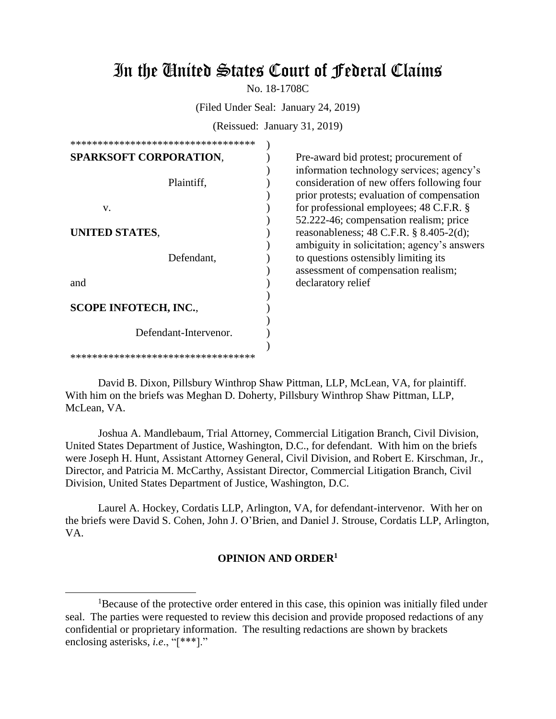# In the United States Court of Federal Claims

No. 18-1708C

(Filed Under Seal: January 24, 2019)

(Reissued: January 31, 2019)

| *********************************** |  |  |  |  |
|-------------------------------------|--|--|--|--|
| <b>SPARKSOFT CORPORATION,</b>       |  |  |  |  |
|                                     |  |  |  |  |
| Plaintiff,                          |  |  |  |  |
|                                     |  |  |  |  |
| V.                                  |  |  |  |  |
|                                     |  |  |  |  |
| UNITED STATES,                      |  |  |  |  |
|                                     |  |  |  |  |
| Defendant,                          |  |  |  |  |
|                                     |  |  |  |  |
| and                                 |  |  |  |  |
|                                     |  |  |  |  |
| <b>SCOPE INFOTECH, INC.,</b>        |  |  |  |  |
| Defendant-Intervenor.               |  |  |  |  |
|                                     |  |  |  |  |
| *********************************** |  |  |  |  |

 $\overline{a}$ 

Pre-award bid protest; procurement of information technology services; agency's consideration of new offers following four prior protests; evaluation of compensation for professional employees; 48 C.F.R. § 52.222-46; compensation realism; price reasonableness; 48 C.F.R. § 8.405-2(d); ambiguity in solicitation; agency's answers to questions ostensibly limiting its assessment of compensation realism; declaratory relief

David B. Dixon, Pillsbury Winthrop Shaw Pittman, LLP, McLean, VA, for plaintiff. With him on the briefs was Meghan D. Doherty, Pillsbury Winthrop Shaw Pittman, LLP, McLean, VA.

Joshua A. Mandlebaum, Trial Attorney, Commercial Litigation Branch, Civil Division, United States Department of Justice, Washington, D.C., for defendant. With him on the briefs were Joseph H. Hunt, Assistant Attorney General, Civil Division, and Robert E. Kirschman, Jr., Director, and Patricia M. McCarthy, Assistant Director, Commercial Litigation Branch, Civil Division, United States Department of Justice, Washington, D.C.

Laurel A. Hockey, Cordatis LLP, Arlington, VA, for defendant-intervenor. With her on the briefs were David S. Cohen, John J. O'Brien, and Daniel J. Strouse, Cordatis LLP, Arlington, VA.

#### **OPINION AND ORDER<sup>1</sup>**

<sup>&</sup>lt;sup>1</sup>Because of the protective order entered in this case, this opinion was initially filed under seal. The parties were requested to review this decision and provide proposed redactions of any confidential or proprietary information. The resulting redactions are shown by brackets enclosing asterisks, *i.e*., "[\*\*\*]."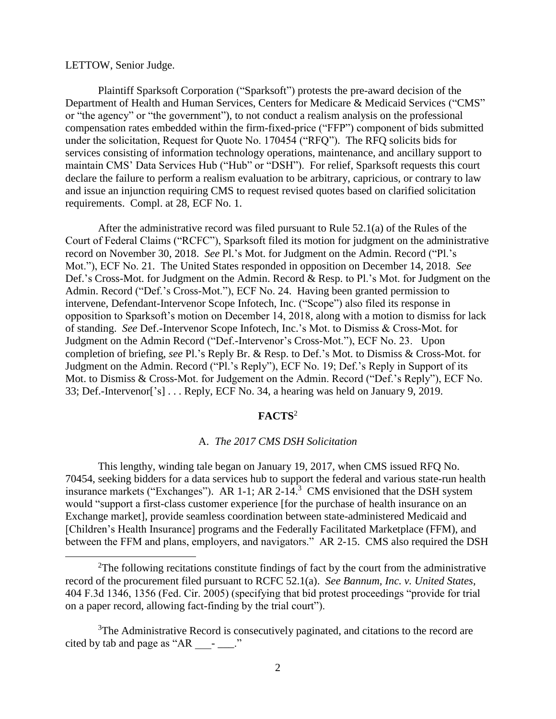#### LETTOW, Senior Judge.

 $\overline{a}$ 

Plaintiff Sparksoft Corporation ("Sparksoft") protests the pre-award decision of the Department of Health and Human Services, Centers for Medicare & Medicaid Services ("CMS" or "the agency" or "the government"), to not conduct a realism analysis on the professional compensation rates embedded within the firm-fixed-price ("FFP") component of bids submitted under the solicitation, Request for Quote No. 170454 ("RFQ"). The RFQ solicits bids for services consisting of information technology operations, maintenance, and ancillary support to maintain CMS' Data Services Hub ("Hub" or "DSH"). For relief, Sparksoft requests this court declare the failure to perform a realism evaluation to be arbitrary, capricious, or contrary to law and issue an injunction requiring CMS to request revised quotes based on clarified solicitation requirements. Compl. at 28, ECF No. 1.

After the administrative record was filed pursuant to Rule 52.1(a) of the Rules of the Court of Federal Claims ("RCFC"), Sparksoft filed its motion for judgment on the administrative record on November 30, 2018. *See* Pl.'s Mot. for Judgment on the Admin. Record ("Pl.'s Mot."), ECF No. 21. The United States responded in opposition on December 14, 2018. *See*  Def.'s Cross-Mot. for Judgment on the Admin. Record & Resp. to Pl.'s Mot. for Judgment on the Admin. Record ("Def.'s Cross-Mot."), ECF No. 24. Having been granted permission to intervene, Defendant-Intervenor Scope Infotech, Inc. ("Scope") also filed its response in opposition to Sparksoft's motion on December 14, 2018, along with a motion to dismiss for lack of standing. *See* Def.-Intervenor Scope Infotech, Inc.'s Mot. to Dismiss & Cross-Mot. for Judgment on the Admin Record ("Def.-Intervenor's Cross-Mot."), ECF No. 23. Upon completion of briefing, *see* Pl.'s Reply Br. & Resp. to Def.'s Mot. to Dismiss & Cross-Mot. for Judgment on the Admin. Record ("Pl.'s Reply"), ECF No. 19; Def.'s Reply in Support of its Mot. to Dismiss & Cross-Mot. for Judgement on the Admin. Record ("Def.'s Reply"), ECF No. 33; Def.-Intervenor['s] . . . Reply, ECF No. 34, a hearing was held on January 9, 2019.

# **FACTS**<sup>2</sup>

#### A. *The 2017 CMS DSH Solicitation*

This lengthy, winding tale began on January 19, 2017, when CMS issued RFQ No. 70454, seeking bidders for a data services hub to support the federal and various state-run health insurance markets ("Exchanges"). AR 1-1; AR 2-14.<sup>3</sup> CMS envisioned that the DSH system would "support a first-class customer experience [for the purchase of health insurance on an Exchange market], provide seamless coordination between state-administered Medicaid and [Children's Health Insurance] programs and the Federally Facilitated Marketplace (FFM), and between the FFM and plans, employers, and navigators." AR 2-15. CMS also required the DSH

<sup>2</sup>The following recitations constitute findings of fact by the court from the administrative record of the procurement filed pursuant to RCFC 52.1(a). *See Bannum, Inc. v. United States*, 404 F.3d 1346, 1356 (Fed. Cir. 2005) (specifying that bid protest proceedings "provide for trial on a paper record, allowing fact-finding by the trial court").

 $3$ The Administrative Record is consecutively paginated, and citations to the record are cited by tab and page as " $AR \t -\t$ ."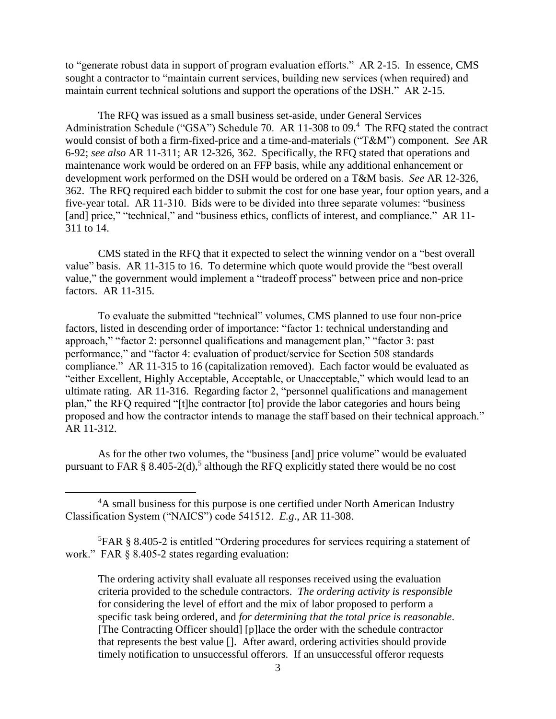to "generate robust data in support of program evaluation efforts." AR 2-15. In essence, CMS sought a contractor to "maintain current services, building new services (when required) and maintain current technical solutions and support the operations of the DSH." AR 2-15.

The RFQ was issued as a small business set-aside, under General Services Administration Schedule ("GSA") Schedule 70. AR 11-308 to 09.<sup>4</sup> The RFQ stated the contract would consist of both a firm-fixed-price and a time-and-materials ("T&M") component. *See* AR 6-92; *see also* AR 11-311; AR 12-326, 362. Specifically, the RFQ stated that operations and maintenance work would be ordered on an FFP basis, while any additional enhancement or development work performed on the DSH would be ordered on a T&M basis. *See* AR 12-326, 362. The RFQ required each bidder to submit the cost for one base year, four option years, and a five-year total. AR 11-310. Bids were to be divided into three separate volumes: "business [and] price," "technical," and "business ethics, conflicts of interest, and compliance." AR 11-311 to 14.

CMS stated in the RFQ that it expected to select the winning vendor on a "best overall value" basis. AR 11-315 to 16. To determine which quote would provide the "best overall value," the government would implement a "tradeoff process" between price and non-price factors. AR 11-315.

To evaluate the submitted "technical" volumes, CMS planned to use four non-price factors, listed in descending order of importance: "factor 1: technical understanding and approach," "factor 2: personnel qualifications and management plan," "factor 3: past performance," and "factor 4: evaluation of product/service for Section 508 standards compliance." AR 11-315 to 16 (capitalization removed). Each factor would be evaluated as "either Excellent, Highly Acceptable, Acceptable, or Unacceptable," which would lead to an ultimate rating. AR 11-316. Regarding factor 2, "personnel qualifications and management plan," the RFQ required "[t]he contractor [to] provide the labor categories and hours being proposed and how the contractor intends to manage the staff based on their technical approach." AR 11-312.

As for the other two volumes, the "business [and] price volume" would be evaluated pursuant to FAR § 8.405-2(d),<sup>5</sup> although the RFQ explicitly stated there would be no cost

<sup>&</sup>lt;sup>4</sup>A small business for this purpose is one certified under North American Industry Classification System ("NAICS") code 541512. *E.g*., AR 11-308.

<sup>5</sup>FAR § 8.405-2 is entitled "Ordering procedures for services requiring a statement of work." FAR § 8.405-2 states regarding evaluation:

The ordering activity shall evaluate all responses received using the evaluation criteria provided to the schedule contractors. *The ordering activity is responsible* for considering the level of effort and the mix of labor proposed to perform a specific task being ordered, and *for determining that the total price is reasonable*. [The Contracting Officer should] [p]lace the order with the schedule contractor that represents the best value []. After award, ordering activities should provide timely notification to unsuccessful offerors. If an unsuccessful offeror requests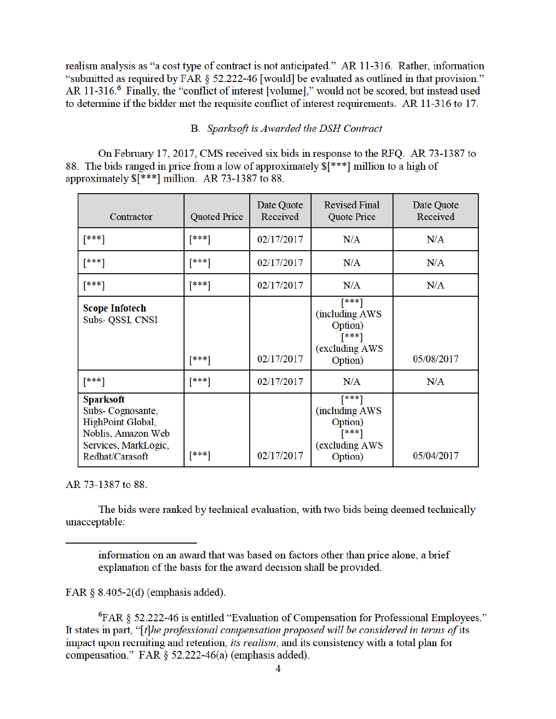realism analysis as "a cost type of contract is not anticipated." AR 11-316. Rather, information "submitted as required by FAR § 52.222-46 [would] be evaluated as outlined in that provision." AR 11-316.<sup>6</sup> Finally, the "conflict of interest [volume]," would not be scored, but instead used to determine if the bidder met the requisite conflict of interest requirements. AR 11-316 to 17.

# B. Sparksoft is Awarded the DSH Contract

On February 17, 2017, CMS received six bids in response to the RFQ. AR 73-1387 to 88. The bids ranged in price from a low of approximately  $\frac{1}{2}$  [\*\*\*] million to a high of approximately  $\sqrt{\ast \ast \ast}$  million. AR 73-1387 to 88.

| Contractor                                                                                                                 | <b>Quoted Price</b> | Date Quote<br>Received | <b>Revised Final</b><br>Quote Price                                        | Date Quote<br>Received |
|----------------------------------------------------------------------------------------------------------------------------|---------------------|------------------------|----------------------------------------------------------------------------|------------------------|
| [***]                                                                                                                      | [***]               | 02/17/2017             | N/A                                                                        | N/A                    |
| $[***]$                                                                                                                    | $[***]$             | 02/17/2017             | N/A                                                                        | N/A                    |
| $[***]$                                                                                                                    | $[***]$             | 02/17/2017             | N/A                                                                        | N/A                    |
| <b>Scope Infotech</b><br>Subs- QSSI, CNSI                                                                                  | $[***]$             | 02/17/2017             | [***]<br>(including AWS<br>Option)<br>$[***]$<br>(excluding AWS<br>Option) | 05/08/2017             |
| $[***]$                                                                                                                    | $[***]$             | 02/17/2017             | N/A                                                                        | N/A                    |
| <b>Sparksoft</b><br>Subs-Cognosante,<br>HighPoint Global,<br>Noblis, Amazon Web<br>Services, MarkLogic,<br>Redhat/Carasoft | $***1$              | 02/17/2017             | [***]<br>(including AWS<br>Option)<br>[***]<br>(excluding AWS<br>Option)   | 05/04/2017             |

AR 73-1387 to 88.

The bids were ranked by technical evaluation, with two bids being deemed technically unacceptable:

FAR  $§ 8.405-2(d)$  (emphasis added).

<sup>6</sup>FAR § 52.222-46 is entitled "Evaluation of Compensation for Professional Employees." It states in part, "[t]he professional compensation proposed will be considered in terms of its impact upon recruiting and retention, *its realism*, and its consistency with a total plan for compensation." FAR § 52.222-46(a) (emphasis added).

information on an award that was based on factors other than price alone, a brief explanation of the basis for the award decision shall be provided.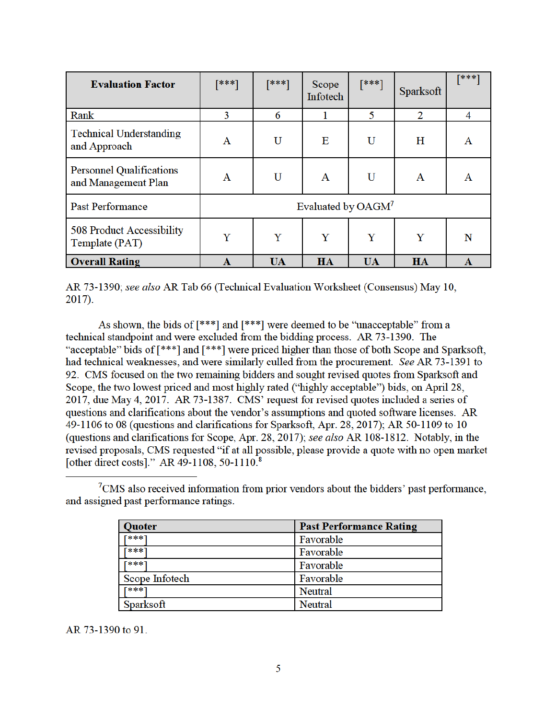| <b>Evaluation Factor</b>                               | [***]                          | [***]     | Scope<br>Infotech | $[***]$   | Sparksoft | [***] |
|--------------------------------------------------------|--------------------------------|-----------|-------------------|-----------|-----------|-------|
| Rank                                                   | 3                              | 6         |                   | 5         | 2         | 4     |
| <b>Technical Understanding</b><br>and Approach         | A                              | U         | E                 | U         | H         | A     |
| <b>Personnel Qualifications</b><br>and Management Plan | A                              | U         | A                 | U         | A         | A     |
| <b>Past Performance</b>                                | Evaluated by OAGM <sup>7</sup> |           |                   |           |           |       |
| 508 Product Accessibility<br>Template (PAT)            | Y                              | Y         | Y                 | Y         | Y         | N     |
| <b>Overall Rating</b>                                  | A                              | <b>UA</b> | HA                | <b>UA</b> | <b>HA</b> | A     |

AR 73-1390; see also AR Tab 66 (Technical Evaluation Worksheet (Consensus) May 10,  $2017$ ).

As shown, the bids of [\*\*\*] and [\*\*\*] were deemed to be "unacceptable" from a technical standpoint and were excluded from the bidding process. AR 73-1390. The "acceptable" bids of [\*\*\*] and [\*\*\*] were priced higher than those of both Scope and Sparksoft, had technical weaknesses, and were similarly culled from the procurement. See AR 73-1391 to 92. CMS focused on the two remaining bidders and sought revised quotes from Sparksoft and Scope, the two lowest priced and most highly rated ("highly acceptable") bids, on April 28, 2017, due May 4, 2017. AR 73-1387. CMS' request for revised quotes included a series of questions and clarifications about the vendor's assumptions and quoted software licenses. AR 49-1106 to 08 (questions and clarifications for Sparksoft, Apr. 28, 2017); AR 50-1109 to 10 (questions and clarifications for Scope, Apr. 28, 2017); see also AR 108-1812. Notably, in the revised proposals, CMS requested "if at all possible, please provide a quote with no open market [other direct costs]." AR 49-1108, 50-1110.8

 ${}^{7}$ CMS also received information from prior vendors about the bidders' past performance, and assigned past performance ratings.

| Quoter             | <b>Past Performance Rating</b> |
|--------------------|--------------------------------|
| <b><i>E***</i></b> | Favorable                      |
| ***                | Favorable                      |
| ***]               | Favorable                      |
| Scope Infotech     | Favorable                      |
| <b>[***]</b>       | <b>Neutral</b>                 |
| Sparksoft          | Neutral                        |

AR 73-1390 to 91.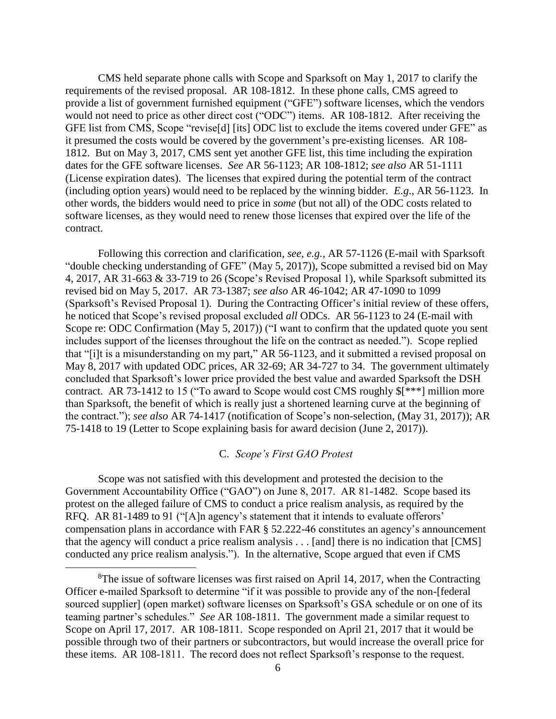CMS held separate phone calls with Scope and Sparksoft on May 1, 2017 to clarify the requirements of the revised proposal. AR 108-1812. In these phone calls, CMS agreed to provide a list of government furnished equipment ("GFE") software licenses, which the vendors would not need to price as other direct cost ("ODC") items. AR 108-1812. After receiving the GFE list from CMS, Scope "revise[d] [its] ODC list to exclude the items covered under GFE" as it presumed the costs would be covered by the government's pre-existing licenses. AR 108- 1812. But on May 3, 2017, CMS sent yet another GFE list, this time including the expiration dates for the GFE software licenses. *See* AR 56-1123; AR 108-1812; *see also* AR 51-1111 (License expiration dates). The licenses that expired during the potential term of the contract (including option years) would need to be replaced by the winning bidder. *E.g*., AR 56-1123. In other words, the bidders would need to price in *some* (but not all) of the ODC costs related to software licenses, as they would need to renew those licenses that expired over the life of the contract.

Following this correction and clarification, *see, e.g.*, AR 57-1126 (E-mail with Sparksoft "double checking understanding of GFE" (May 5, 2017)), Scope submitted a revised bid on May 4, 2017, AR 31-663 & 33-719 to 26 (Scope's Revised Proposal 1), while Sparksoft submitted its revised bid on May 5, 2017. AR 73-1387; *see also* AR 46-1042; AR 47-1090 to 1099 (Sparksoft's Revised Proposal 1). During the Contracting Officer's initial review of these offers, he noticed that Scope's revised proposal excluded *all* ODCs. AR 56-1123 to 24 (E-mail with Scope re: ODC Confirmation (May 5, 2017)) ("I want to confirm that the updated quote you sent includes support of the licenses throughout the life on the contract as needed."). Scope replied that "[i]t is a misunderstanding on my part," AR 56-1123, and it submitted a revised proposal on May 8, 2017 with updated ODC prices, AR 32-69; AR 34-727 to 34. The government ultimately concluded that Sparksoft's lower price provided the best value and awarded Sparksoft the DSH contract. AR 73-1412 to 15 ("To award to Scope would cost CMS roughly \$[\*\*\*] million more than Sparksoft, the benefit of which is really just a shortened learning curve at the beginning of the contract."); *see also* AR 74-1417 (notification of Scope's non-selection, (May 31, 2017)); AR 75-1418 to 19 (Letter to Scope explaining basis for award decision (June 2, 2017)).

# C. *Scope's First GAO Protest*

Scope was not satisfied with this development and protested the decision to the Government Accountability Office ("GAO") on June 8, 2017. AR 81-1482. Scope based its protest on the alleged failure of CMS to conduct a price realism analysis, as required by the RFQ. AR 81-1489 to 91 ("[A]n agency's statement that it intends to evaluate offerors' compensation plans in accordance with FAR § 52.222-46 constitutes an agency's announcement that the agency will conduct a price realism analysis . . . [and] there is no indication that [CMS] conducted any price realism analysis."). In the alternative, Scope argued that even if CMS

 ${}^{8}$ The issue of software licenses was first raised on April 14, 2017, when the Contracting Officer e-mailed Sparksoft to determine "if it was possible to provide any of the non-[federal sourced supplier] (open market) software licenses on Sparksoft's GSA schedule or on one of its teaming partner's schedules." *See* AR 108-1811. The government made a similar request to Scope on April 17, 2017. AR 108-1811. Scope responded on April 21, 2017 that it would be possible through two of their partners or subcontractors, but would increase the overall price for these items. AR 108-1811. The record does not reflect Sparksoft's response to the request.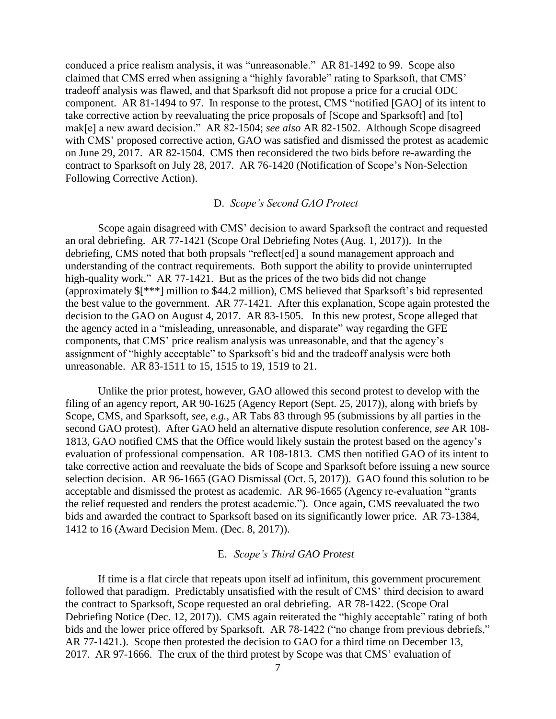conduced a price realism analysis, it was "unreasonable." AR 81-1492 to 99. Scope also claimed that CMS erred when assigning a "highly favorable" rating to Sparksoft, that CMS' tradeoff analysis was flawed, and that Sparksoft did not propose a price for a crucial ODC component. AR 81-1494 to 97. In response to the protest, CMS "notified [GAO] of its intent to take corrective action by reevaluating the price proposals of [Scope and Sparksoft] and [to] mak[e] a new award decision." AR 82-1504; *see also* AR 82-1502. Although Scope disagreed with CMS' proposed corrective action, GAO was satisfied and dismissed the protest as academic on June 29, 2017. AR 82-1504. CMS then reconsidered the two bids before re-awarding the contract to Sparksoft on July 28, 2017. AR 76-1420 (Notification of Scope's Non-Selection Following Corrective Action).

# D. *Scope's Second GAO Protect*

Scope again disagreed with CMS' decision to award Sparksoft the contract and requested an oral debriefing. AR 77-1421 (Scope Oral Debriefing Notes (Aug. 1, 2017)). In the debriefing, CMS noted that both propsals "reflect[ed] a sound management approach and understanding of the contract requirements. Both support the ability to provide uninterrupted high-quality work." AR 77-1421. But as the prices of the two bids did not change (approximately \$[\*\*\*] million to \$44.2 million), CMS believed that Sparksoft's bid represented the best value to the government. AR 77-1421. After this explanation, Scope again protested the decision to the GAO on August 4, 2017. AR 83-1505. In this new protest, Scope alleged that the agency acted in a "misleading, unreasonable, and disparate" way regarding the GFE components, that CMS' price realism analysis was unreasonable, and that the agency's assignment of "highly acceptable" to Sparksoft's bid and the tradeoff analysis were both unreasonable. AR 83-1511 to 15, 1515 to 19, 1519 to 21.

Unlike the prior protest, however, GAO allowed this second protest to develop with the filing of an agency report, AR 90-1625 (Agency Report (Sept. 25, 2017)), along with briefs by Scope, CMS, and Sparksoft, *see, e.g.*, AR Tabs 83 through 95 (submissions by all parties in the second GAO protest). After GAO held an alternative dispute resolution conference, *see* AR 108- 1813, GAO notified CMS that the Office would likely sustain the protest based on the agency's evaluation of professional compensation. AR 108-1813. CMS then notified GAO of its intent to take corrective action and reevaluate the bids of Scope and Sparksoft before issuing a new source selection decision. AR 96-1665 (GAO Dismissal (Oct. 5, 2017)). GAO found this solution to be acceptable and dismissed the protest as academic. AR 96-1665 (Agency re-evaluation "grants the relief requested and renders the protest academic."). Once again, CMS reevaluated the two bids and awarded the contract to Sparksoft based on its significantly lower price. AR 73-1384, 1412 to 16 (Award Decision Mem. (Dec. 8, 2017)).

# E. *Scope's Third GAO Protest*

If time is a flat circle that repeats upon itself ad infinitum, this government procurement followed that paradigm. Predictably unsatisfied with the result of CMS' third decision to award the contract to Sparksoft, Scope requested an oral debriefing. AR 78-1422. (Scope Oral Debriefing Notice (Dec. 12, 2017)). CMS again reiterated the "highly acceptable" rating of both bids and the lower price offered by Sparksoft. AR 78-1422 ("no change from previous debriefs," AR 77-1421.). Scope then protested the decision to GAO for a third time on December 13, 2017. AR 97-1666. The crux of the third protest by Scope was that CMS' evaluation of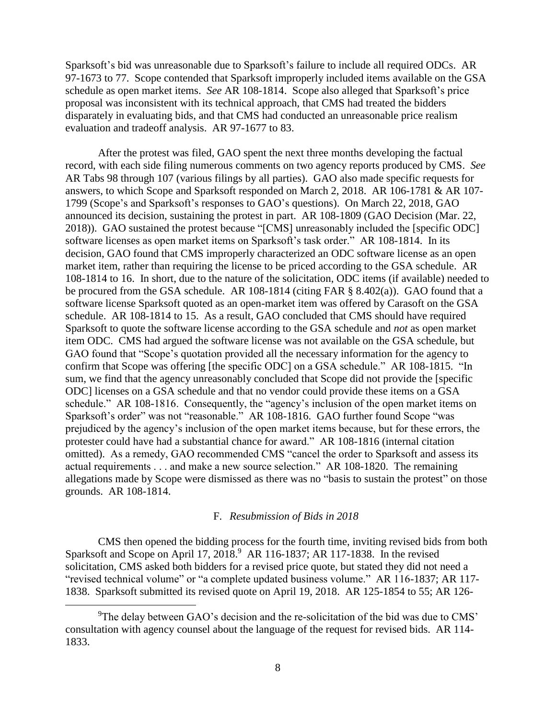Sparksoft's bid was unreasonable due to Sparksoft's failure to include all required ODCs. AR 97-1673 to 77. Scope contended that Sparksoft improperly included items available on the GSA schedule as open market items. *See* AR 108-1814. Scope also alleged that Sparksoft's price proposal was inconsistent with its technical approach, that CMS had treated the bidders disparately in evaluating bids, and that CMS had conducted an unreasonable price realism evaluation and tradeoff analysis. AR 97-1677 to 83.

After the protest was filed, GAO spent the next three months developing the factual record, with each side filing numerous comments on two agency reports produced by CMS. *See* AR Tabs 98 through 107 (various filings by all parties). GAO also made specific requests for answers, to which Scope and Sparksoft responded on March 2, 2018. AR 106-1781 & AR 107- 1799 (Scope's and Sparksoft's responses to GAO's questions). On March 22, 2018, GAO announced its decision, sustaining the protest in part. AR 108-1809 (GAO Decision (Mar. 22, 2018)). GAO sustained the protest because "[CMS] unreasonably included the [specific ODC] software licenses as open market items on Sparksoft's task order." AR 108-1814. In its decision, GAO found that CMS improperly characterized an ODC software license as an open market item, rather than requiring the license to be priced according to the GSA schedule. AR 108-1814 to 16. In short, due to the nature of the solicitation, ODC items (if available) needed to be procured from the GSA schedule. AR 108-1814 (citing FAR § 8.402(a)). GAO found that a software license Sparksoft quoted as an open-market item was offered by Carasoft on the GSA schedule. AR 108-1814 to 15. As a result, GAO concluded that CMS should have required Sparksoft to quote the software license according to the GSA schedule and *not* as open market item ODC. CMS had argued the software license was not available on the GSA schedule, but GAO found that "Scope's quotation provided all the necessary information for the agency to confirm that Scope was offering [the specific ODC] on a GSA schedule." AR 108-1815. "In sum, we find that the agency unreasonably concluded that Scope did not provide the [specific ODC] licenses on a GSA schedule and that no vendor could provide these items on a GSA schedule." AR 108-1816. Consequently, the "agency's inclusion of the open market items on Sparksoft's order" was not "reasonable." AR 108-1816. GAO further found Scope "was prejudiced by the agency's inclusion of the open market items because, but for these errors, the protester could have had a substantial chance for award." AR 108-1816 (internal citation omitted). As a remedy, GAO recommended CMS "cancel the order to Sparksoft and assess its actual requirements . . . and make a new source selection." AR 108-1820. The remaining allegations made by Scope were dismissed as there was no "basis to sustain the protest" on those grounds. AR 108-1814.

# F. *Resubmission of Bids in 2018*

CMS then opened the bidding process for the fourth time, inviting revised bids from both Sparksoft and Scope on April 17,  $2018<sup>9</sup>$  AR 116-1837; AR 117-1838. In the revised solicitation, CMS asked both bidders for a revised price quote, but stated they did not need a "revised technical volume" or "a complete updated business volume." AR 116-1837; AR 117- 1838. Sparksoft submitted its revised quote on April 19, 2018. AR 125-1854 to 55; AR 126-

 $\rm{^{9}The}$  delay between GAO's decision and the re-solicitation of the bid was due to CMS' consultation with agency counsel about the language of the request for revised bids. AR 114- 1833.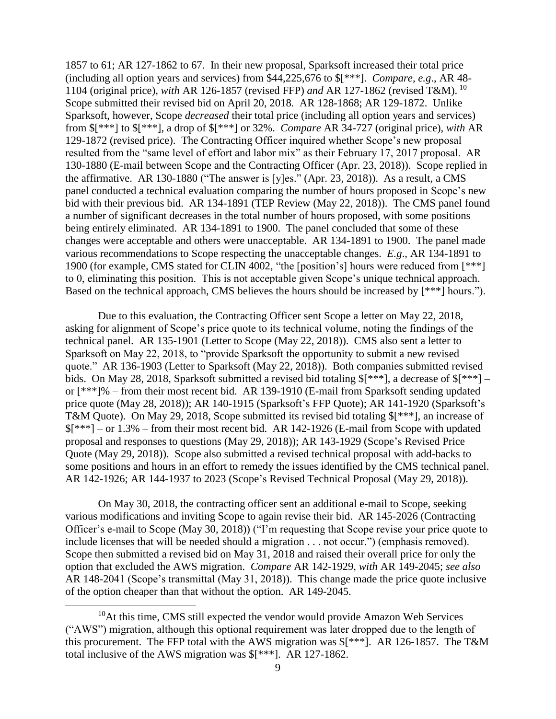1857 to 61; AR 127-1862 to 67. In their new proposal, Sparksoft increased their total price (including all option years and services) from \$44,225,676 to \$[\*\*\*]. *Compare, e.g*., AR 48- 1104 (original price), *with* AR 126-1857 (revised FFP) *and* AR 127-1862 (revised T&M). <sup>10</sup> Scope submitted their revised bid on April 20, 2018. AR 128-1868; AR 129-1872. Unlike Sparksoft, however, Scope *decreased* their total price (including all option years and services) from \$[\*\*\*] to \$[\*\*\*], a drop of \$[\*\*\*] or 32%. *Compare* AR 34-727 (original price), *with* AR 129-1872 (revised price). The Contracting Officer inquired whether Scope's new proposal resulted from the "same level of effort and labor mix" as their February 17, 2017 proposal. AR 130-1880 (E-mail between Scope and the Contracting Officer (Apr. 23, 2018)). Scope replied in the affirmative. AR 130-1880 ("The answer is [y]es." (Apr. 23, 2018)). As a result, a CMS panel conducted a technical evaluation comparing the number of hours proposed in Scope's new bid with their previous bid. AR 134-1891 (TEP Review (May 22, 2018)). The CMS panel found a number of significant decreases in the total number of hours proposed, with some positions being entirely eliminated. AR 134-1891 to 1900. The panel concluded that some of these changes were acceptable and others were unacceptable. AR 134-1891 to 1900. The panel made various recommendations to Scope respecting the unacceptable changes. *E.g*., AR 134-1891 to 1900 (for example, CMS stated for CLIN 4002, "the [position's] hours were reduced from [\*\*\*] to 0, eliminating this position. This is not acceptable given Scope's unique technical approach. Based on the technical approach, CMS believes the hours should be increased by [\*\*\*] hours.").

Due to this evaluation, the Contracting Officer sent Scope a letter on May 22, 2018, asking for alignment of Scope's price quote to its technical volume, noting the findings of the technical panel. AR 135-1901 (Letter to Scope (May 22, 2018)). CMS also sent a letter to Sparksoft on May 22, 2018, to "provide Sparksoft the opportunity to submit a new revised quote." AR 136-1903 (Letter to Sparksoft (May 22, 2018)). Both companies submitted revised bids. On May 28, 2018, Sparksoft submitted a revised bid totaling  $[1***]$ , a decrease of  $[1***]$  – or [\*\*\*]% – from their most recent bid. AR 139-1910 (E-mail from Sparksoft sending updated price quote (May 28, 2018)); AR 140-1915 (Sparksoft's FFP Quote); AR 141-1920 (Sparksoft's T&M Quote). On May 29, 2018, Scope submitted its revised bid totaling \$[\*\*\*], an increase of  $$[^{***}]-$  or 1.3% – from their most recent bid. AR 142-1926 (E-mail from Scope with updated proposal and responses to questions (May 29, 2018)); AR 143-1929 (Scope's Revised Price Quote (May 29, 2018)). Scope also submitted a revised technical proposal with add-backs to some positions and hours in an effort to remedy the issues identified by the CMS technical panel. AR 142-1926; AR 144-1937 to 2023 (Scope's Revised Technical Proposal (May 29, 2018)).

On May 30, 2018, the contracting officer sent an additional e-mail to Scope, seeking various modifications and inviting Scope to again revise their bid. AR 145-2026 (Contracting Officer's e-mail to Scope (May 30, 2018)) ("I'm requesting that Scope revise your price quote to include licenses that will be needed should a migration . . . not occur.") (emphasis removed). Scope then submitted a revised bid on May 31, 2018 and raised their overall price for only the option that excluded the AWS migration. *Compare* AR 142-1929, *with* AR 149-2045; *see also* AR 148-2041 (Scope's transmittal (May 31, 2018)). This change made the price quote inclusive of the option cheaper than that without the option. AR 149-2045.

 $10$ At this time, CMS still expected the vendor would provide Amazon Web Services ("AWS") migration, although this optional requirement was later dropped due to the length of this procurement. The FFP total with the AWS migration was \$[\*\*\*]. AR 126-1857. The T&M total inclusive of the AWS migration was \$[\*\*\*]. AR 127-1862.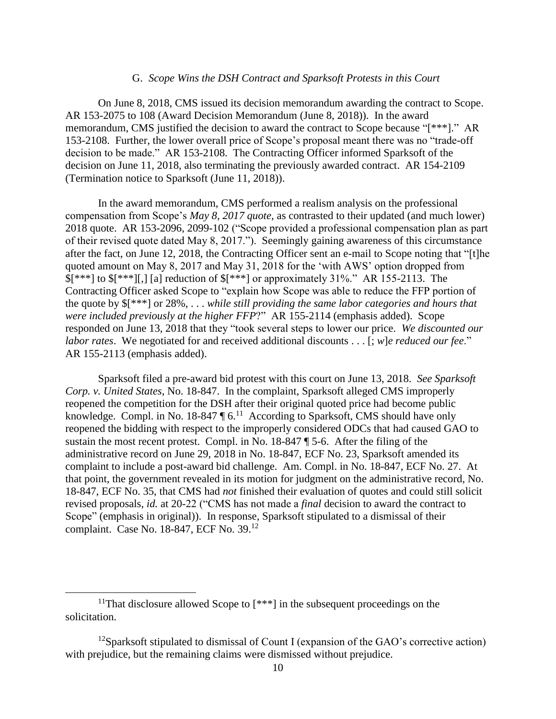#### G. *Scope Wins the DSH Contract and Sparksoft Protests in this Court*

On June 8, 2018, CMS issued its decision memorandum awarding the contract to Scope. AR 153-2075 to 108 (Award Decision Memorandum (June 8, 2018)). In the award memorandum, CMS justified the decision to award the contract to Scope because "[\*\*\*]." AR 153-2108. Further, the lower overall price of Scope's proposal meant there was no "trade-off decision to be made." AR 153-2108. The Contracting Officer informed Sparksoft of the decision on June 11, 2018, also terminating the previously awarded contract. AR 154-2109 (Termination notice to Sparksoft (June 11, 2018)).

In the award memorandum, CMS performed a realism analysis on the professional compensation from Scope's *May 8, 2017 quote*, as contrasted to their updated (and much lower) 2018 quote. AR 153-2096, 2099-102 ("Scope provided a professional compensation plan as part of their revised quote dated May 8, 2017."). Seemingly gaining awareness of this circumstance after the fact, on June 12, 2018, the Contracting Officer sent an e-mail to Scope noting that "[t]he quoted amount on May 8, 2017 and May 31, 2018 for the 'with AWS' option dropped from  $\frac{\frac{1}{3}$ [\*\*\*] to  $\frac{1}{3}$ [\*\*\*]], [a] reduction of  $\frac{1}{3}$ [\*\*\*] or approximately 31%." AR 155-2113. The Contracting Officer asked Scope to "explain how Scope was able to reduce the FFP portion of the quote by \$[\*\*\*] or 28%, . . . *while still providing the same labor categories and hours that were included previously at the higher FFP*?" AR 155-2114 (emphasis added). Scope responded on June 13, 2018 that they "took several steps to lower our price. *We discounted our labor rates*. We negotiated for and received additional discounts . . . [; *w*]*e reduced our fee*." AR 155-2113 (emphasis added).

Sparksoft filed a pre-award bid protest with this court on June 13, 2018. *See Sparksoft Corp. v. United States*, No. 18-847. In the complaint, Sparksoft alleged CMS improperly reopened the competition for the DSH after their original quoted price had become public knowledge. Compl. in No. 18-847  $\sqrt{6}$ .<sup>11</sup> According to Sparksoft, CMS should have only reopened the bidding with respect to the improperly considered ODCs that had caused GAO to sustain the most recent protest. Compl. in No. 18-847 ¶ 5-6. After the filing of the administrative record on June 29, 2018 in No. 18-847, ECF No. 23, Sparksoft amended its complaint to include a post-award bid challenge. Am. Compl. in No. 18-847, ECF No. 27. At that point, the government revealed in its motion for judgment on the administrative record, No. 18-847, ECF No. 35, that CMS had *not* finished their evaluation of quotes and could still solicit revised proposals, *id.* at 20-22 ("CMS has not made a *final* decision to award the contract to Scope" (emphasis in original)). In response, Sparksoft stipulated to a dismissal of their complaint. Case No. 18-847, ECF No. 39.<sup>12</sup>

<sup>&</sup>lt;sup>11</sup>That disclosure allowed Scope to  $[***]$  in the subsequent proceedings on the solicitation.

<sup>&</sup>lt;sup>12</sup>Sparksoft stipulated to dismissal of Count I (expansion of the GAO's corrective action) with prejudice, but the remaining claims were dismissed without prejudice.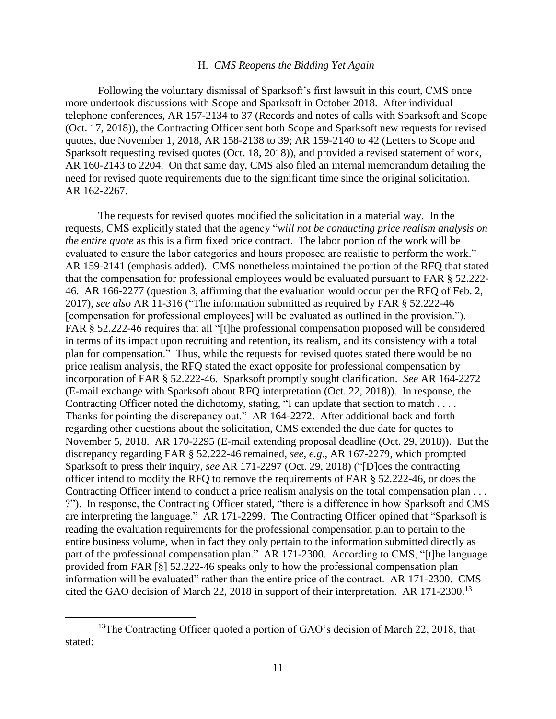# H. *CMS Reopens the Bidding Yet Again*

Following the voluntary dismissal of Sparksoft's first lawsuit in this court, CMS once more undertook discussions with Scope and Sparksoft in October 2018. After individual telephone conferences, AR 157-2134 to 37 (Records and notes of calls with Sparksoft and Scope (Oct. 17, 2018)), the Contracting Officer sent both Scope and Sparksoft new requests for revised quotes, due November 1, 2018, AR 158-2138 to 39; AR 159-2140 to 42 (Letters to Scope and Sparksoft requesting revised quotes (Oct. 18, 2018)), and provided a revised statement of work, AR 160-2143 to 2204. On that same day, CMS also filed an internal memorandum detailing the need for revised quote requirements due to the significant time since the original solicitation. AR 162-2267.

The requests for revised quotes modified the solicitation in a material way. In the requests, CMS explicitly stated that the agency "*will not be conducting price realism analysis on the entire quote* as this is a firm fixed price contract. The labor portion of the work will be evaluated to ensure the labor categories and hours proposed are realistic to perform the work." AR 159-2141 (emphasis added). CMS nonetheless maintained the portion of the RFQ that stated that the compensation for professional employees would be evaluated pursuant to FAR § 52.222- 46. AR 166-2277 (question 3, affirming that the evaluation would occur per the RFQ of Feb. 2, 2017), *see also* AR 11-316 ("The information submitted as required by FAR § 52.222-46 [compensation for professional employees] will be evaluated as outlined in the provision."). FAR § 52.222-46 requires that all "[t]he professional compensation proposed will be considered in terms of its impact upon recruiting and retention, its realism, and its consistency with a total plan for compensation." Thus, while the requests for revised quotes stated there would be no price realism analysis, the RFQ stated the exact opposite for professional compensation by incorporation of FAR § 52.222-46. Sparksoft promptly sought clarification. *See* AR 164-2272 (E-mail exchange with Sparksoft about RFQ interpretation (Oct. 22, 2018)). In response, the Contracting Officer noted the dichotomy, stating, "I can update that section to match . . . . Thanks for pointing the discrepancy out." AR 164-2272. After additional back and forth regarding other questions about the solicitation, CMS extended the due date for quotes to November 5, 2018. AR 170-2295 (E-mail extending proposal deadline (Oct. 29, 2018)). But the discrepancy regarding FAR § 52.222-46 remained, *see, e.g*., AR 167-2279, which prompted Sparksoft to press their inquiry, *see* AR 171-2297 (Oct. 29, 2018) ("[D]oes the contracting officer intend to modify the RFQ to remove the requirements of FAR § 52.222-46, or does the Contracting Officer intend to conduct a price realism analysis on the total compensation plan . . . ?"). In response, the Contracting Officer stated, "there is a difference in how Sparksoft and CMS are interpreting the language." AR 171-2299. The Contracting Officer opined that "Sparksoft is reading the evaluation requirements for the professional compensation plan to pertain to the entire business volume, when in fact they only pertain to the information submitted directly as part of the professional compensation plan." AR 171-2300. According to CMS, "[t]he language provided from FAR [§] 52.222-46 speaks only to how the professional compensation plan information will be evaluated" rather than the entire price of the contract. AR 171-2300. CMS cited the GAO decision of March 22, 2018 in support of their interpretation. AR 171-2300.<sup>13</sup>

<sup>&</sup>lt;sup>13</sup>The Contracting Officer quoted a portion of GAO's decision of March 22, 2018, that stated: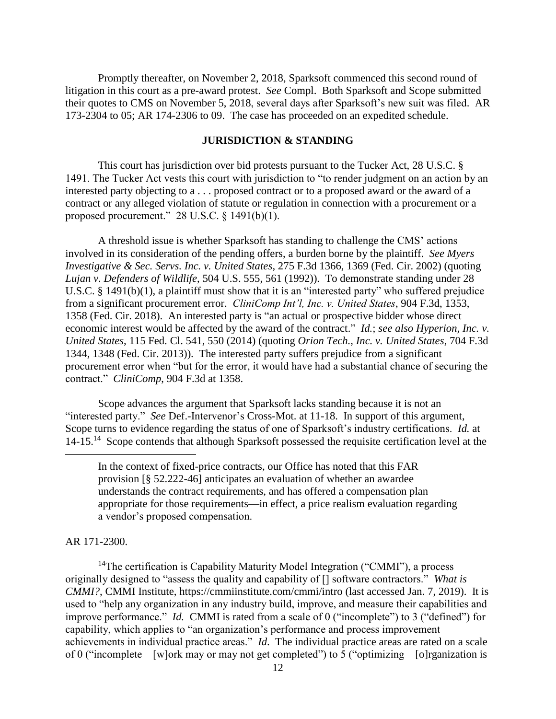Promptly thereafter, on November 2, 2018, Sparksoft commenced this second round of litigation in this court as a pre-award protest. *See* Compl. Both Sparksoft and Scope submitted their quotes to CMS on November 5, 2018, several days after Sparksoft's new suit was filed. AR 173-2304 to 05; AR 174-2306 to 09. The case has proceeded on an expedited schedule.

#### **JURISDICTION & STANDING**

This court has jurisdiction over bid protests pursuant to the Tucker Act, 28 U.S.C. § 1491. The Tucker Act vests this court with jurisdiction to "to render judgment on an action by an interested party objecting to a . . . proposed contract or to a proposed award or the award of a contract or any alleged violation of statute or regulation in connection with a procurement or a proposed procurement." 28 U.S.C. § 1491(b)(1).

A threshold issue is whether Sparksoft has standing to challenge the CMS' actions involved in its consideration of the pending offers, a burden borne by the plaintiff. *See Myers Investigative & Sec. Servs. Inc. v. United States*, 275 F.3d 1366, 1369 (Fed. Cir. 2002) (quoting *Lujan v. Defenders of Wildlife*, 504 U.S. 555, 561 (1992)). To demonstrate standing under 28 U.S.C. § 1491(b)(1), a plaintiff must show that it is an "interested party" who suffered prejudice from a significant procurement error. *CliniComp Int'l, Inc. v. United States*, 904 F.3d, 1353, 1358 (Fed. Cir. 2018). An interested party is "an actual or prospective bidder whose direct economic interest would be affected by the award of the contract." *Id.*; *see also Hyperion, Inc. v. United States*, 115 Fed. Cl. 541, 550 (2014) (quoting *Orion Tech., Inc. v. United States*, 704 F.3d 1344, 1348 (Fed. Cir. 2013)). The interested party suffers prejudice from a significant procurement error when "but for the error, it would have had a substantial chance of securing the contract." *CliniComp*, 904 F.3d at 1358.

Scope advances the argument that Sparksoft lacks standing because it is not an "interested party." *See Def.*-Intervenor's Cross-Mot. at 11-18. In support of this argument, Scope turns to evidence regarding the status of one of Sparksoft's industry certifications. *Id.* at 14-15.<sup>14</sup> Scope contends that although Sparksoft possessed the requisite certification level at the

#### AR 171-2300.

 $\overline{a}$ 

<sup>14</sup>The certification is Capability Maturity Model Integration ("CMMI"), a process originally designed to "assess the quality and capability of [] software contractors." *What is CMMI?*, CMMI Institute, https://cmmiinstitute.com/cmmi/intro (last accessed Jan. 7, 2019). It is used to "help any organization in any industry build, improve, and measure their capabilities and improve performance." *Id.* CMMI is rated from a scale of 0 ("incomplete") to 3 ("defined") for capability, which applies to "an organization's performance and process improvement achievements in individual practice areas." *Id*. The individual practice areas are rated on a scale of 0 ("incomplete – [w]ork may or may not get completed") to 5 ("optimizing – [o]rganization is

In the context of fixed-price contracts, our Office has noted that this FAR provision [§ 52.222-46] anticipates an evaluation of whether an awardee understands the contract requirements, and has offered a compensation plan appropriate for those requirements—in effect, a price realism evaluation regarding a vendor's proposed compensation.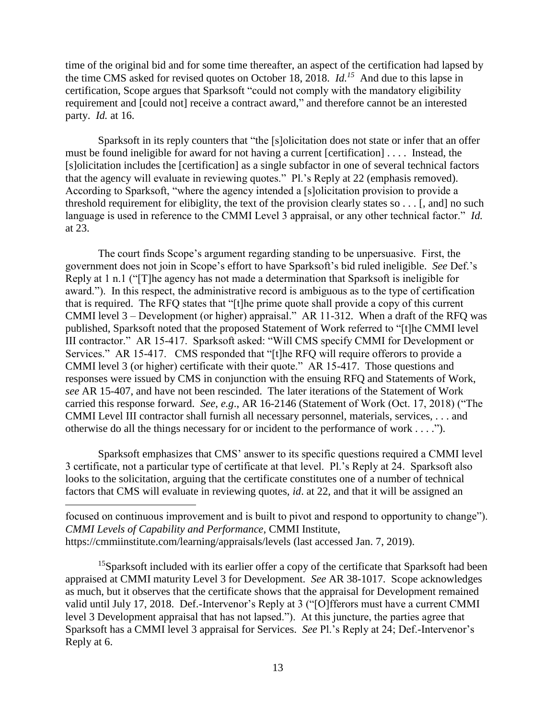time of the original bid and for some time thereafter, an aspect of the certification had lapsed by the time CMS asked for revised quotes on October 18, 2018. *Id.<sup>15</sup>* And due to this lapse in certification, Scope argues that Sparksoft "could not comply with the mandatory eligibility requirement and [could not] receive a contract award," and therefore cannot be an interested party. *Id.* at 16.

Sparksoft in its reply counters that "the [s]olicitation does not state or infer that an offer must be found ineligible for award for not having a current [certification] . . . . Instead, the [s]olicitation includes the [certification] as a single subfactor in one of several technical factors that the agency will evaluate in reviewing quotes." Pl.'s Reply at 22 (emphasis removed). According to Sparksoft, "where the agency intended a [s]olicitation provision to provide a threshold requirement for elibiglity, the text of the provision clearly states so . . . [, and] no such language is used in reference to the CMMI Level 3 appraisal, or any other technical factor." *Id.* at 23.

The court finds Scope's argument regarding standing to be unpersuasive. First, the government does not join in Scope's effort to have Sparksoft's bid ruled ineligible. *See* Def.'s Reply at 1 n.1 ("[T]he agency has not made a determination that Sparksoft is ineligible for award."). In this respect, the administrative record is ambiguous as to the type of certification that is required. The RFQ states that "[t]he prime quote shall provide a copy of this current CMMI level 3 – Development (or higher) appraisal." AR 11-312. When a draft of the RFQ was published, Sparksoft noted that the proposed Statement of Work referred to "[t]he CMMI level III contractor." AR 15-417. Sparksoft asked: "Will CMS specify CMMI for Development or Services." AR 15-417. CMS responded that "[t]he RFQ will require offerors to provide a CMMI level 3 (or higher) certificate with their quote." AR 15-417. Those questions and responses were issued by CMS in conjunction with the ensuing RFQ and Statements of Work, *see* AR 15-407, and have not been rescinded. The later iterations of the Statement of Work carried this response forward. *See*, *e.g*., AR 16-2146 (Statement of Work (Oct. 17, 2018) ("The CMMI Level III contractor shall furnish all necessary personnel, materials, services, . . . and otherwise do all the things necessary for or incident to the performance of work . . . .").

Sparksoft emphasizes that CMS' answer to its specific questions required a CMMI level 3 certificate, not a particular type of certificate at that level. Pl.'s Reply at 24. Sparksoft also looks to the solicitation, arguing that the certificate constitutes one of a number of technical factors that CMS will evaluate in reviewing quotes, *id*. at 22, and that it will be assigned an

 $\overline{a}$ 

focused on continuous improvement and is built to pivot and respond to opportunity to change"). *CMMI Levels of Capability and Performance*, CMMI Institute, https://cmmiinstitute.com/learning/appraisals/levels (last accessed Jan. 7, 2019).

<sup>15</sup>Sparksoft included with its earlier offer a copy of the certificate that Sparksoft had been appraised at CMMI maturity Level 3 for Development. *See* AR 38-1017. Scope acknowledges as much, but it observes that the certificate shows that the appraisal for Development remained valid until July 17, 2018. Def.-Intervenor's Reply at 3 ("[O]fferors must have a current CMMI level 3 Development appraisal that has not lapsed."). At this juncture, the parties agree that Sparksoft has a CMMI level 3 appraisal for Services. *See* Pl.'s Reply at 24; Def.-Intervenor's Reply at 6.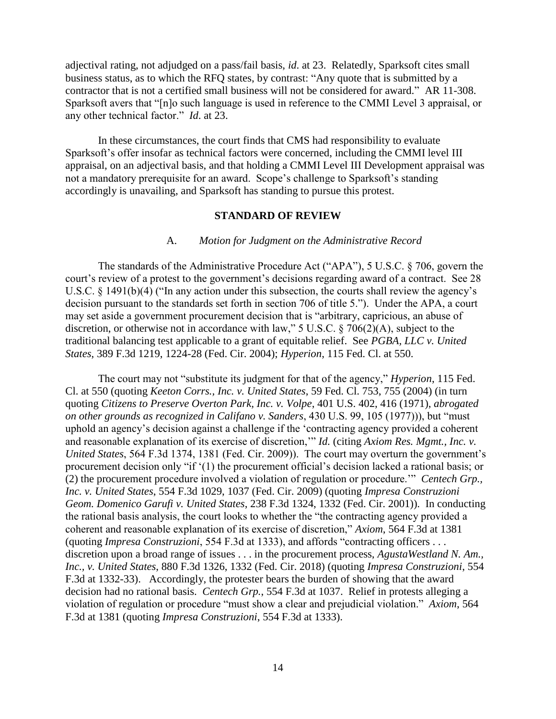adjectival rating, not adjudged on a pass/fail basis, *id*. at 23. Relatedly, Sparksoft cites small business status, as to which the RFQ states, by contrast: "Any quote that is submitted by a contractor that is not a certified small business will not be considered for award." AR 11-308. Sparksoft avers that "[n]o such language is used in reference to the CMMI Level 3 appraisal, or any other technical factor." *Id*. at 23.

In these circumstances, the court finds that CMS had responsibility to evaluate Sparksoft's offer insofar as technical factors were concerned, including the CMMI level III appraisal, on an adjectival basis, and that holding a CMMI Level III Development appraisal was not a mandatory prerequisite for an award. Scope's challenge to Sparksoft's standing accordingly is unavailing, and Sparksoft has standing to pursue this protest.

#### **STANDARD OF REVIEW**

#### A. *Motion for Judgment on the Administrative Record*

The standards of the Administrative Procedure Act ("APA"), 5 U.S.C. § 706, govern the court's review of a protest to the government's decisions regarding award of a contract. See 28 U.S.C. § 1491(b)(4) ("In any action under this subsection, the courts shall review the agency's decision pursuant to the standards set forth in section 706 of title 5."). Under the APA, a court may set aside a government procurement decision that is "arbitrary, capricious, an abuse of discretion, or otherwise not in accordance with law," 5 U.S.C. § 706(2)(A), subject to the traditional balancing test applicable to a grant of equitable relief. See *PGBA, LLC v. United States*, 389 F.3d 1219, 1224-28 (Fed. Cir. 2004); *Hyperion*, 115 Fed. Cl. at 550.

The court may not "substitute its judgment for that of the agency," *Hyperion*, 115 Fed. Cl. at 550 (quoting *Keeton Corrs., Inc. v. United States*, 59 Fed. Cl. 753, 755 (2004) (in turn quoting *Citizens to Preserve Overton Park, Inc. v. Volpe*, 401 U.S. 402, 416 (1971), *abrogated on other grounds as recognized in Califano v. Sanders*, 430 U.S. 99, 105 (1977))), but "must uphold an agency's decision against a challenge if the 'contracting agency provided a coherent and reasonable explanation of its exercise of discretion,'" *Id.* (citing *Axiom Res. Mgmt., Inc. v. United States*, 564 F.3d 1374, 1381 (Fed. Cir. 2009)). The court may overturn the government's procurement decision only "if '(1) the procurement official's decision lacked a rational basis; or (2) the procurement procedure involved a violation of regulation or procedure.'" *Centech Grp., Inc. v. United States*, 554 F.3d 1029, 1037 (Fed. Cir. 2009) (quoting *Impresa Construzioni Geom. Domenico Garufi v. United States*, 238 F.3d 1324, 1332 (Fed. Cir. 2001)). In conducting the rational basis analysis, the court looks to whether the "the contracting agency provided a coherent and reasonable explanation of its exercise of discretion," *Axiom*, 564 F.3d at 1381 (quoting *Impresa Construzioni*, 554 F.3d at 1333), and affords "contracting officers . . . discretion upon a broad range of issues . . . in the procurement process, *AgustaWestland N. Am., Inc., v. United States*, 880 F.3d 1326, 1332 (Fed. Cir. 2018) (quoting *Impresa Construzioni*, 554 F.3d at 1332-33). Accordingly, the protester bears the burden of showing that the award decision had no rational basis. *Centech Grp.*, 554 F.3d at 1037. Relief in protests alleging a violation of regulation or procedure "must show a clear and prejudicial violation." *Axiom*, 564 F.3d at 1381 (quoting *Impresa Construzioni*, 554 F.3d at 1333).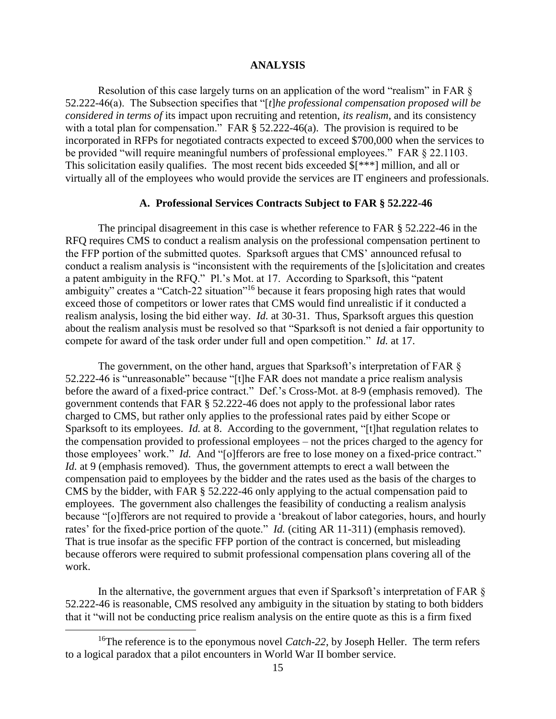# **ANALYSIS**

Resolution of this case largely turns on an application of the word "realism" in FAR  $\S$ 52.222-46(a). The Subsection specifies that "[*t*]*he professional compensation proposed will be considered in terms of* its impact upon recruiting and retention, *its realism*, and its consistency with a total plan for compensation." FAR § 52.222-46(a). The provision is required to be incorporated in RFPs for negotiated contracts expected to exceed \$700,000 when the services to be provided "will require meaningful numbers of professional employees." FAR § 22.1103. This solicitation easily qualifies. The most recent bids exceeded \$[\*\*\*] million, and all or virtually all of the employees who would provide the services are IT engineers and professionals.

#### **A. Professional Services Contracts Subject to FAR § 52.222-46**

The principal disagreement in this case is whether reference to FAR § 52.222-46 in the RFQ requires CMS to conduct a realism analysis on the professional compensation pertinent to the FFP portion of the submitted quotes. Sparksoft argues that CMS' announced refusal to conduct a realism analysis is "inconsistent with the requirements of the [s]olicitation and creates a patent ambiguity in the RFQ." Pl.'s Mot. at 17. According to Sparksoft, this "patent ambiguity" creates a "Catch-22 situation"<sup>16</sup> because it fears proposing high rates that would exceed those of competitors or lower rates that CMS would find unrealistic if it conducted a realism analysis, losing the bid either way. *Id.* at 30-31. Thus, Sparksoft argues this question about the realism analysis must be resolved so that "Sparksoft is not denied a fair opportunity to compete for award of the task order under full and open competition." *Id.* at 17.

The government, on the other hand, argues that Sparksoft's interpretation of FAR § 52.222-46 is "unreasonable" because "[t]he FAR does not mandate a price realism analysis before the award of a fixed-price contract." Def.'s Cross-Mot. at 8-9 (emphasis removed). The government contends that FAR § 52.222-46 does not apply to the professional labor rates charged to CMS, but rather only applies to the professional rates paid by either Scope or Sparksoft to its employees. *Id.* at 8. According to the government, "[t] hat regulation relates to the compensation provided to professional employees – not the prices charged to the agency for those employees' work." *Id.* And "[o]fferors are free to lose money on a fixed-price contract." *Id.* at 9 (emphasis removed). Thus, the government attempts to erect a wall between the compensation paid to employees by the bidder and the rates used as the basis of the charges to CMS by the bidder, with FAR § 52.222-46 only applying to the actual compensation paid to employees. The government also challenges the feasibility of conducting a realism analysis because "[o]fferors are not required to provide a 'breakout of labor categories, hours, and hourly rates' for the fixed-price portion of the quote." *Id.* (citing AR 11-311) (emphasis removed). That is true insofar as the specific FFP portion of the contract is concerned, but misleading because offerors were required to submit professional compensation plans covering all of the work.

In the alternative, the government argues that even if Sparksoft's interpretation of FAR § 52.222-46 is reasonable, CMS resolved any ambiguity in the situation by stating to both bidders that it "will not be conducting price realism analysis on the entire quote as this is a firm fixed

<sup>&</sup>lt;sup>16</sup>The reference is to the eponymous novel *Catch-22*, by Joseph Heller. The term refers to a logical paradox that a pilot encounters in World War II bomber service.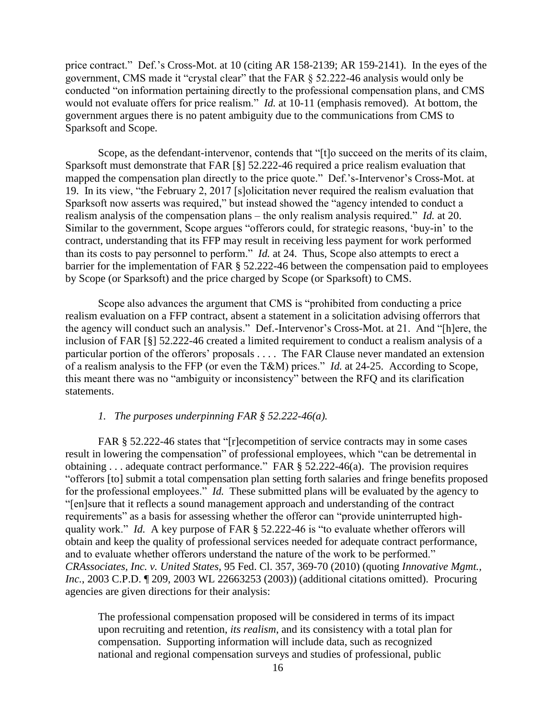price contract." Def.'s Cross-Mot. at 10 (citing AR 158-2139; AR 159-2141). In the eyes of the government, CMS made it "crystal clear" that the FAR § 52.222-46 analysis would only be conducted "on information pertaining directly to the professional compensation plans, and CMS would not evaluate offers for price realism." *Id.* at 10-11 (emphasis removed). At bottom, the government argues there is no patent ambiguity due to the communications from CMS to Sparksoft and Scope.

Scope, as the defendant-intervenor, contends that "[t]o succeed on the merits of its claim, Sparksoft must demonstrate that FAR [§] 52.222-46 required a price realism evaluation that mapped the compensation plan directly to the price quote." Def.'s-Intervenor's Cross-Mot. at 19. In its view, "the February 2, 2017 [s]olicitation never required the realism evaluation that Sparksoft now asserts was required," but instead showed the "agency intended to conduct a realism analysis of the compensation plans – the only realism analysis required." *Id.* at 20. Similar to the government, Scope argues "offerors could, for strategic reasons, 'buy-in' to the contract, understanding that its FFP may result in receiving less payment for work performed than its costs to pay personnel to perform." *Id.* at 24. Thus, Scope also attempts to erect a barrier for the implementation of FAR § 52.222-46 between the compensation paid to employees by Scope (or Sparksoft) and the price charged by Scope (or Sparksoft) to CMS.

Scope also advances the argument that CMS is "prohibited from conducting a price realism evaluation on a FFP contract, absent a statement in a solicitation advising offerrors that the agency will conduct such an analysis." Def.-Intervenor's Cross-Mot. at 21. And "[h]ere, the inclusion of FAR [§] 52.222-46 created a limited requirement to conduct a realism analysis of a particular portion of the offerors' proposals . . . . The FAR Clause never mandated an extension of a realism analysis to the FFP (or even the T&M) prices." *Id.* at 24-25. According to Scope, this meant there was no "ambiguity or inconsistency" between the RFQ and its clarification statements.

# *1. The purposes underpinning FAR § 52.222-46(a).*

FAR § 52.222-46 states that "[r]ecompetition of service contracts may in some cases result in lowering the compensation" of professional employees, which "can be detremental in obtaining . . . adequate contract performance." FAR § 52.222-46(a). The provision requires "offerors [to] submit a total compensation plan setting forth salaries and fringe benefits proposed for the professional employees." *Id.* These submitted plans will be evaluated by the agency to "[en]sure that it reflects a sound management approach and understanding of the contract requirements" as a basis for assessing whether the offeror can "provide uninterrupted highquality work." *Id.* A key purpose of FAR § 52.222-46 is "to evaluate whether offerors will obtain and keep the quality of professional services needed for adequate contract performance, and to evaluate whether offerors understand the nature of the work to be performed." *CRAssociates, Inc. v. United States*, 95 Fed. Cl. 357, 369-70 (2010) (quoting *Innovative Mgmt., Inc.*, 2003 C.P.D. ¶ 209, 2003 WL 22663253 (2003)) (additional citations omitted). Procuring agencies are given directions for their analysis:

The professional compensation proposed will be considered in terms of its impact upon recruiting and retention, *its realism*, and its consistency with a total plan for compensation. Supporting information will include data, such as recognized national and regional compensation surveys and studies of professional, public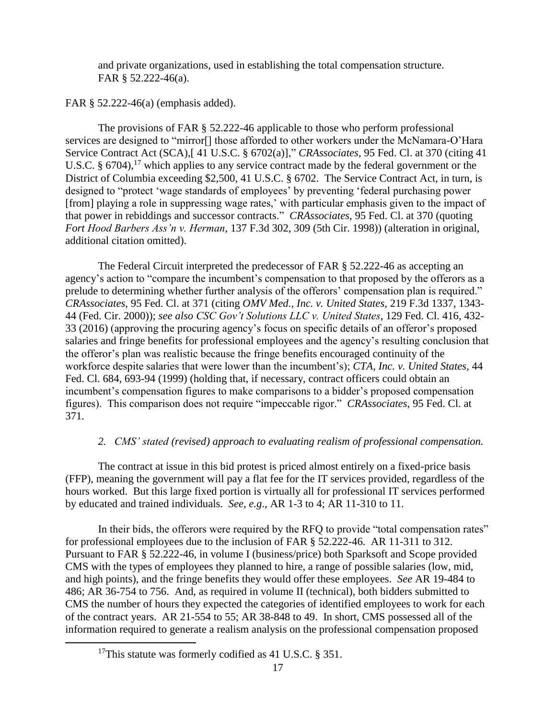and private organizations, used in establishing the total compensation structure. FAR § 52.222-46(a).

FAR § 52.222-46(a) (emphasis added).

The provisions of FAR § 52.222-46 applicable to those who perform professional services are designed to "mirror[] those afforded to other workers under the McNamara-O'Hara Service Contract Act (SCA),[ 41 U.S.C. § 6702(a)]," *CRAssociates*, 95 Fed. Cl. at 370 (citing 41 U.S.C.  $\S 6704$ ,<sup>17</sup> which applies to any service contract made by the federal government or the District of Columbia exceeding \$2,500, 41 U.S.C. § 6702. The Service Contract Act, in turn, is designed to "protect 'wage standards of employees' by preventing 'federal purchasing power [from] playing a role in suppressing wage rates,' with particular emphasis given to the impact of that power in rebiddings and successor contracts." *CRAssociates*, 95 Fed. Cl. at 370 (quoting *Fort Hood Barbers Ass'n v. Herman*, 137 F.3d 302, 309 (5th Cir. 1998)) (alteration in original, additional citation omitted).

The Federal Circuit interpreted the predecessor of FAR § 52.222-46 as accepting an agency's action to "compare the incumbent's compensation to that proposed by the offerors as a prelude to determining whether further analysis of the offerors' compensation plan is required." *CRAssociates*, 95 Fed. Cl. at 371 (citing *OMV Med., Inc. v. United States*, 219 F.3d 1337, 1343- 44 (Fed. Cir. 2000)); *see also CSC Gov't Solutions LLC v. United States*, 129 Fed. Cl. 416, 432- 33 (2016) (approving the procuring agency's focus on specific details of an offeror's proposed salaries and fringe benefits for professional employees and the agency's resulting conclusion that the offeror's plan was realistic because the fringe benefits encouraged continuity of the workforce despite salaries that were lower than the incumbent's); *CTA, Inc. v. United States*, 44 Fed. Cl. 684, 693-94 (1999) (holding that, if necessary, contract officers could obtain an incumbent's compensation figures to make comparisons to a bidder's proposed compensation figures). This comparison does not require "impeccable rigor." *CRAssociates*, 95 Fed. Cl. at 371*.*

# *2. CMS' stated (revised) approach to evaluating realism of professional compensation.*

The contract at issue in this bid protest is priced almost entirely on a fixed-price basis (FFP), meaning the government will pay a flat fee for the IT services provided, regardless of the hours worked. But this large fixed portion is virtually all for professional IT services performed by educated and trained individuals. *See, e.g*., AR 1-3 to 4; AR 11-310 to 11.

In their bids, the offerors were required by the RFQ to provide "total compensation rates" for professional employees due to the inclusion of FAR § 52.222-46. AR 11-311 to 312. Pursuant to FAR § 52.222-46, in volume I (business/price) both Sparksoft and Scope provided CMS with the types of employees they planned to hire, a range of possible salaries (low, mid, and high points), and the fringe benefits they would offer these employees. *See* AR 19-484 to 486; AR 36-754 to 756. And, as required in volume II (technical), both bidders submitted to CMS the number of hours they expected the categories of identified employees to work for each of the contract years. AR 21-554 to 55; AR 38-848 to 49. In short, CMS possessed all of the information required to generate a realism analysis on the professional compensation proposed

<sup>&</sup>lt;sup>17</sup>This statute was formerly codified as 41 U.S.C. § 351.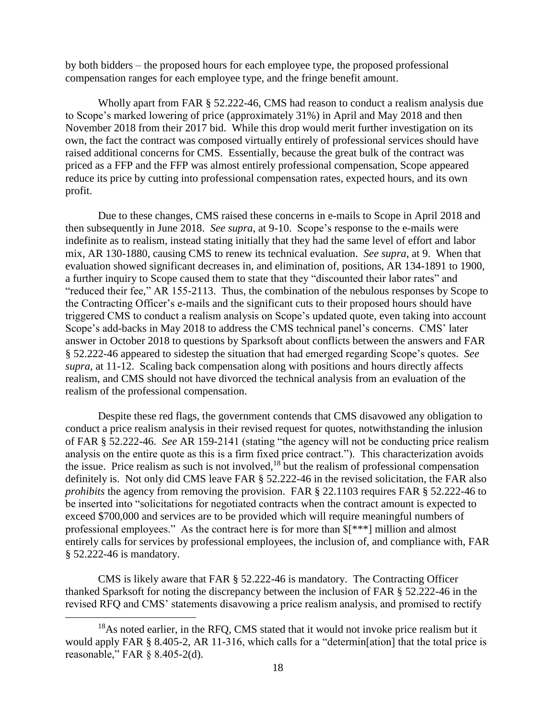by both bidders – the proposed hours for each employee type, the proposed professional compensation ranges for each employee type, and the fringe benefit amount.

Wholly apart from FAR § 52.222-46, CMS had reason to conduct a realism analysis due to Scope's marked lowering of price (approximately 31%) in April and May 2018 and then November 2018 from their 2017 bid. While this drop would merit further investigation on its own, the fact the contract was composed virtually entirely of professional services should have raised additional concerns for CMS. Essentially, because the great bulk of the contract was priced as a FFP and the FFP was almost entirely professional compensation, Scope appeared reduce its price by cutting into professional compensation rates, expected hours, and its own profit.

Due to these changes, CMS raised these concerns in e-mails to Scope in April 2018 and then subsequently in June 2018. *See supra*, at 9-10. Scope's response to the e-mails were indefinite as to realism, instead stating initially that they had the same level of effort and labor mix, AR 130-1880, causing CMS to renew its technical evaluation. *See supra*, at 9. When that evaluation showed significant decreases in, and elimination of, positions, AR 134-1891 to 1900, a further inquiry to Scope caused them to state that they "discounted their labor rates" and "reduced their fee," AR 155-2113. Thus, the combination of the nebulous responses by Scope to the Contracting Officer's e-mails and the significant cuts to their proposed hours should have triggered CMS to conduct a realism analysis on Scope's updated quote, even taking into account Scope's add-backs in May 2018 to address the CMS technical panel's concerns. CMS' later answer in October 2018 to questions by Sparksoft about conflicts between the answers and FAR § 52.222-46 appeared to sidestep the situation that had emerged regarding Scope's quotes. *See supra*, at 11-12. Scaling back compensation along with positions and hours directly affects realism, and CMS should not have divorced the technical analysis from an evaluation of the realism of the professional compensation.

Despite these red flags, the government contends that CMS disavowed any obligation to conduct a price realism analysis in their revised request for quotes, notwithstanding the inlusion of FAR § 52.222-46. *See* AR 159-2141 (stating "the agency will not be conducting price realism analysis on the entire quote as this is a firm fixed price contract."). This characterization avoids the issue. Price realism as such is not involved,  $18$  but the realism of professional compensation definitely is. Not only did CMS leave FAR § 52.222-46 in the revised solicitation, the FAR also *prohibits* the agency from removing the provision. FAR § 22.1103 requires FAR § 52.222-46 to be inserted into "solicitations for negotiated contracts when the contract amount is expected to exceed \$700,000 and services are to be provided which will require meaningful numbers of professional employees." As the contract here is for more than \$[\*\*\*] million and almost entirely calls for services by professional employees, the inclusion of, and compliance with, FAR § 52.222-46 is mandatory.

CMS is likely aware that FAR § 52.222-46 is mandatory. The Contracting Officer thanked Sparksoft for noting the discrepancy between the inclusion of FAR § 52.222-46 in the revised RFQ and CMS' statements disavowing a price realism analysis, and promised to rectify

<sup>&</sup>lt;sup>18</sup>As noted earlier, in the RFQ, CMS stated that it would not invoke price realism but it would apply FAR § 8.405-2, AR 11-316, which calls for a "determin[ation] that the total price is reasonable," FAR § 8.405-2(d).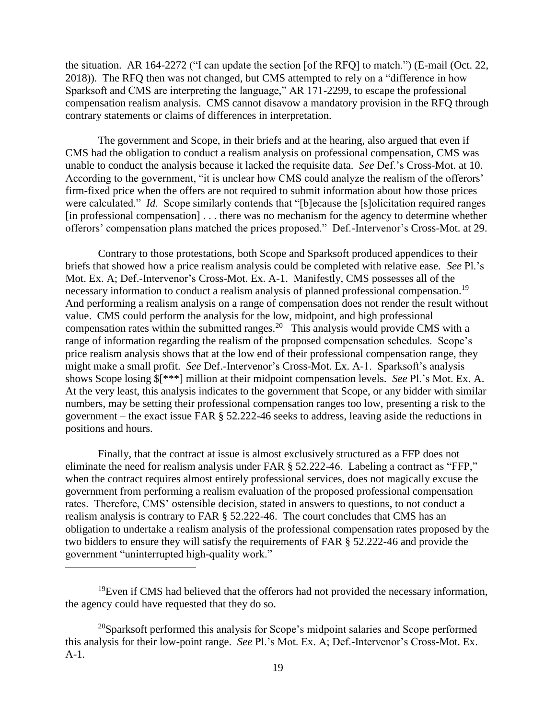the situation. AR 164-2272 ("I can update the section [of the RFQ] to match.") (E-mail (Oct. 22, 2018)). The RFQ then was not changed, but CMS attempted to rely on a "difference in how Sparksoft and CMS are interpreting the language," AR 171-2299, to escape the professional compensation realism analysis. CMS cannot disavow a mandatory provision in the RFQ through contrary statements or claims of differences in interpretation.

The government and Scope, in their briefs and at the hearing, also argued that even if CMS had the obligation to conduct a realism analysis on professional compensation, CMS was unable to conduct the analysis because it lacked the requisite data. *See* Def.'s Cross-Mot. at 10. According to the government, "it is unclear how CMS could analyze the realism of the offerors' firm-fixed price when the offers are not required to submit information about how those prices were calculated." *Id*. Scope similarly contends that "[b]ecause the [s]olicitation required ranges [in professional compensation] . . . there was no mechanism for the agency to determine whether offerors' compensation plans matched the prices proposed." Def.-Intervenor's Cross-Mot. at 29.

Contrary to those protestations, both Scope and Sparksoft produced appendices to their briefs that showed how a price realism analysis could be completed with relative ease. *See* Pl.'s Mot. Ex. A; Def.-Intervenor's Cross-Mot. Ex. A-1. Manifestly, CMS possesses all of the necessary information to conduct a realism analysis of planned professional compensation.<sup>19</sup> And performing a realism analysis on a range of compensation does not render the result without value. CMS could perform the analysis for the low, midpoint, and high professional compensation rates within the submitted ranges.<sup>20</sup> This analysis would provide CMS with a range of information regarding the realism of the proposed compensation schedules. Scope's price realism analysis shows that at the low end of their professional compensation range, they might make a small profit. *See* Def.-Intervenor's Cross-Mot. Ex. A-1. Sparksoft's analysis shows Scope losing \$[\*\*\*] million at their midpoint compensation levels. *See* Pl.'s Mot. Ex. A. At the very least, this analysis indicates to the government that Scope, or any bidder with similar numbers, may be setting their professional compensation ranges too low, presenting a risk to the government – the exact issue FAR § 52.222-46 seeks to address, leaving aside the reductions in positions and hours.

Finally, that the contract at issue is almost exclusively structured as a FFP does not eliminate the need for realism analysis under FAR § 52.222-46. Labeling a contract as "FFP," when the contract requires almost entirely professional services, does not magically excuse the government from performing a realism evaluation of the proposed professional compensation rates. Therefore, CMS' ostensible decision, stated in answers to questions, to not conduct a realism analysis is contrary to FAR § 52.222-46. The court concludes that CMS has an obligation to undertake a realism analysis of the professional compensation rates proposed by the two bidders to ensure they will satisfy the requirements of FAR § 52.222-46 and provide the government "uninterrupted high-quality work."

 $19$ Even if CMS had believed that the offerors had not provided the necessary information, the agency could have requested that they do so.

 $\overline{a}$ 

 $20$ Sparksoft performed this analysis for Scope's midpoint salaries and Scope performed this analysis for their low-point range. *See* Pl.'s Mot. Ex. A; Def.-Intervenor's Cross-Mot. Ex. A-1.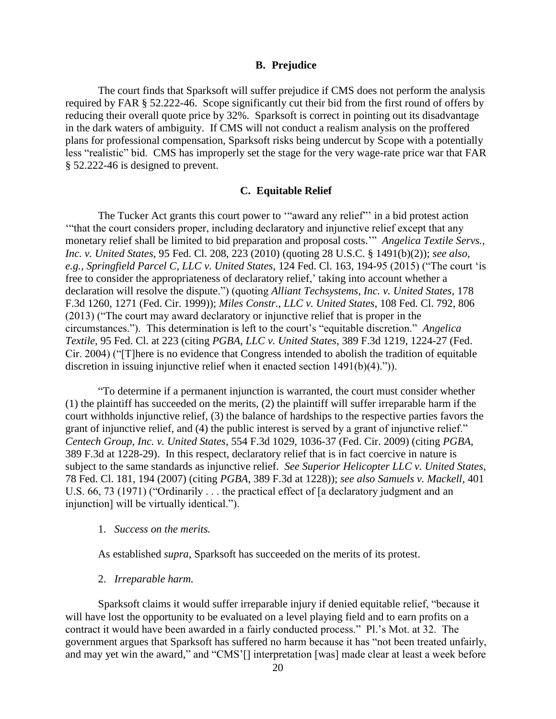# **B. Prejudice**

The court finds that Sparksoft will suffer prejudice if CMS does not perform the analysis required by FAR § 52.222-46. Scope significantly cut their bid from the first round of offers by reducing their overall quote price by 32%. Sparksoft is correct in pointing out its disadvantage in the dark waters of ambiguity. If CMS will not conduct a realism analysis on the proffered plans for professional compensation, Sparksoft risks being undercut by Scope with a potentially less "realistic" bid. CMS has improperly set the stage for the very wage-rate price war that FAR § 52.222-46 is designed to prevent.

#### **C. Equitable Relief**

The Tucker Act grants this court power to '"award any relief"' in a bid protest action '"that the court considers proper, including declaratory and injunctive relief except that any monetary relief shall be limited to bid preparation and proposal costs.'" *Angelica Textile Servs., Inc. v. United States*, 95 Fed. Cl. 208, 223 (2010) (quoting 28 U.S.C. § 1491(b)(2)); *see also, e.g.*, *Springfield Parcel C, LLC v. United States*, 124 Fed. Cl. 163, 194-95 (2015) ("The court 'is free to consider the appropriateness of declaratory relief,' taking into account whether a declaration will resolve the dispute.") (quoting *Alliant Techsystems, Inc. v. United States*, 178 F.3d 1260, 1271 (Fed. Cir. 1999)); *Miles Constr., LLC v. United States*, 108 Fed. Cl. 792, 806 (2013) ("The court may award declaratory or injunctive relief that is proper in the circumstances."). This determination is left to the court's "equitable discretion." *Angelica Textile*, 95 Fed. Cl. at 223 (citing *PGBA, LLC v. United States*, 389 F.3d 1219, 1224-27 (Fed. Cir. 2004) ("[T]here is no evidence that Congress intended to abolish the tradition of equitable discretion in issuing injunctive relief when it enacted section 1491(b)(4).")).

"To determine if a permanent injunction is warranted, the court must consider whether (1) the plaintiff has succeeded on the merits, (2) the plaintiff will suffer irreparable harm if the court withholds injunctive relief, (3) the balance of hardships to the respective parties favors the grant of injunctive relief, and (4) the public interest is served by a grant of injunctive relief." *Centech Group, Inc. v. United States*, 554 F.3d 1029, 1036-37 (Fed. Cir. 2009) (citing *PGBA*, 389 F.3d at 1228-29). In this respect, declaratory relief that is in fact coercive in nature is subject to the same standards as injunctive relief. *See Superior Helicopter LLC v. United States*, 78 Fed. Cl. 181, 194 (2007) (citing *PGBA*, 389 F.3d at 1228)); *see also Samuels v. Mackell*, 401 U.S. 66, 73 (1971) ("Ordinarily . . . the practical effect of [a declaratory judgment and an injunction] will be virtually identical.").

#### 1. *Success on the merits.*

As established *supra*, Sparksoft has succeeded on the merits of its protest.

# 2. *Irreparable harm.*

Sparksoft claims it would suffer irreparable injury if denied equitable relief, "because it will have lost the opportunity to be evaluated on a level playing field and to earn profits on a contract it would have been awarded in a fairly conducted process." Pl.'s Mot. at 32. The government argues that Sparksoft has suffered no harm because it has "not been treated unfairly, and may yet win the award," and "CMS'[] interpretation [was] made clear at least a week before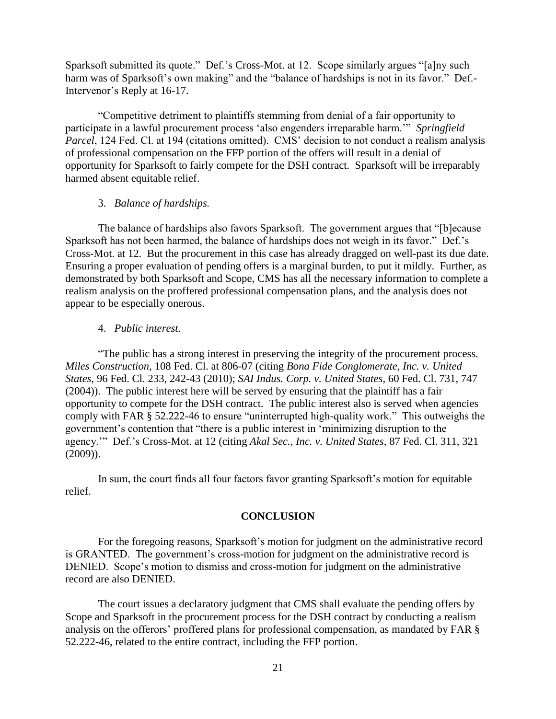Sparksoft submitted its quote." Def.'s Cross-Mot. at 12. Scope similarly argues "[a]ny such harm was of Sparksoft's own making" and the "balance of hardships is not in its favor." Def.-Intervenor's Reply at 16-17.

"Competitive detriment to plaintiffs stemming from denial of a fair opportunity to participate in a lawful procurement process 'also engenders irreparable harm.'" *Springfield Parcel*, 124 Fed. Cl. at 194 (citations omitted). CMS' decision to not conduct a realism analysis of professional compensation on the FFP portion of the offers will result in a denial of opportunity for Sparksoft to fairly compete for the DSH contract. Sparksoft will be irreparably harmed absent equitable relief.

#### 3. *Balance of hardships.*

The balance of hardships also favors Sparksoft. The government argues that "[b]ecause Sparksoft has not been harmed, the balance of hardships does not weigh in its favor." Def.'s Cross-Mot. at 12. But the procurement in this case has already dragged on well-past its due date. Ensuring a proper evaluation of pending offers is a marginal burden, to put it mildly. Further, as demonstrated by both Sparksoft and Scope, CMS has all the necessary information to complete a realism analysis on the proffered professional compensation plans, and the analysis does not appear to be especially onerous.

#### 4. *Public interest.*

"The public has a strong interest in preserving the integrity of the procurement process. *Miles Construction*, 108 Fed. Cl. at 806-07 (citing *Bona Fide Conglomerate, Inc. v. United States*, 96 Fed. Cl. 233, 242-43 (2010); *SAI Indus. Corp. v. United States*, 60 Fed. Cl. 731, 747 (2004)). The public interest here will be served by ensuring that the plaintiff has a fair opportunity to compete for the DSH contract. The public interest also is served when agencies comply with FAR § 52.222-46 to ensure "uninterrupted high-quality work." This outweighs the government's contention that "there is a public interest in 'minimizing disruption to the agency.'" Def.'s Cross-Mot. at 12 (citing *Akal Sec., Inc. v. United States*, 87 Fed. Cl. 311, 321 (2009)).

In sum, the court finds all four factors favor granting Sparksoft's motion for equitable relief.

# **CONCLUSION**

For the foregoing reasons, Sparksoft's motion for judgment on the administrative record is GRANTED. The government's cross-motion for judgment on the administrative record is DENIED. Scope's motion to dismiss and cross-motion for judgment on the administrative record are also DENIED.

The court issues a declaratory judgment that CMS shall evaluate the pending offers by Scope and Sparksoft in the procurement process for the DSH contract by conducting a realism analysis on the offerors' proffered plans for professional compensation, as mandated by FAR § 52.222-46, related to the entire contract, including the FFP portion.